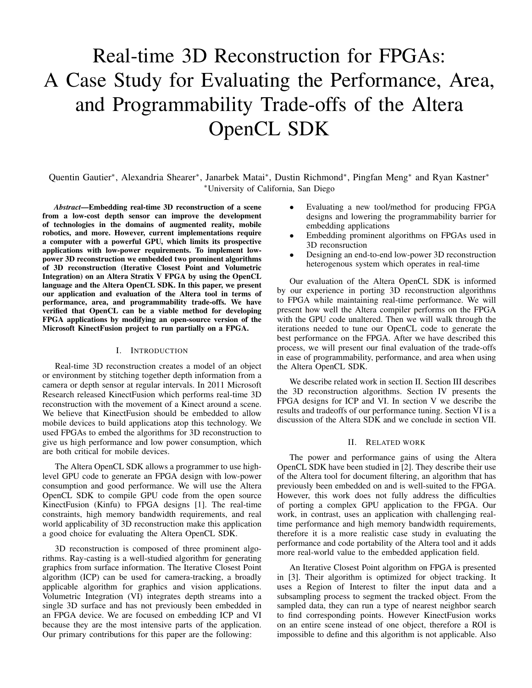# Real-time 3D Reconstruction for FPGAs: A Case Study for Evaluating the Performance, Area, and Programmability Trade-offs of the Altera OpenCL SDK

Quentin Gautier<sup>∗</sup>, Alexandria Shearer<sup>∗</sup>, Janarbek Matai<sup>∗</sup>, Dustin Richmond<sup>∗</sup>, Pingfan Meng<sup>∗</sup> and Ryan Kastner<sup>\*</sup> <sup>∗</sup>University of California, San Diego

*Abstract*—Embedding real-time 3D reconstruction of a scene from a low-cost depth sensor can improve the development of technologies in the domains of augmented reality, mobile robotics, and more. However, current implementations require a computer with a powerful GPU, which limits its prospective applications with low-power requirements. To implement lowpower 3D reconstruction we embedded two prominent algorithms of 3D reconstruction (Iterative Closest Point and Volumetric Integration) on an Altera Stratix V FPGA by using the OpenCL language and the Altera OpenCL SDK. In this paper, we present our application and evaluation of the Altera tool in terms of performance, area, and programmability trade-offs. We have verified that OpenCL can be a viable method for developing FPGA applications by modifying an open-source version of the Microsoft KinectFusion project to run partially on a FPGA.

## I. INTRODUCTION

Real-time 3D reconstruction creates a model of an object or environment by stitching together depth information from a camera or depth sensor at regular intervals. In 2011 Microsoft Research released KinectFusion which performs real-time 3D reconstruction with the movement of a Kinect around a scene. We believe that KinectFusion should be embedded to allow mobile devices to build applications atop this technology. We used FPGAs to embed the algorithms for 3D reconstruction to give us high performance and low power consumption, which are both critical for mobile devices.

The Altera OpenCL SDK allows a programmer to use highlevel GPU code to generate an FPGA design with low-power consumption and good performance. We will use the Altera OpenCL SDK to compile GPU code from the open source KinectFusion (Kinfu) to FPGA designs [1]. The real-time constraints, high memory bandwidth requirements, and real world applicability of 3D reconstruction make this application a good choice for evaluating the Altera OpenCL SDK.

3D reconstruction is composed of three prominent algorithms. Ray-casting is a well-studied algorithm for generating graphics from surface information. The Iterative Closest Point algorithm (ICP) can be used for camera-tracking, a broadly applicable algorithm for graphics and vision applications. Volumetric Integration (VI) integrates depth streams into a single 3D surface and has not previously been embedded in an FPGA device. We are focused on embedding ICP and VI because they are the most intensive parts of the application. Our primary contributions for this paper are the following:

- Evaluating a new tool/method for producing FPGA designs and lowering the programmability barrier for embedding applications
- Embedding prominent algorithms on FPGAs used in 3D reconsruction
- Designing an end-to-end low-power 3D reconstruction heterogenous system which operates in real-time

Our evaluation of the Altera OpenCL SDK is informed by our experience in porting 3D reconstruction algorithms to FPGA while maintaining real-time performance. We will present how well the Altera compiler performs on the FPGA with the GPU code unaltered. Then we will walk through the iterations needed to tune our OpenCL code to generate the best performance on the FPGA. After we have described this process, we will present our final evaluation of the trade-offs in ease of programmability, performance, and area when using the Altera OpenCL SDK.

We describe related work in section II. Section III describes the 3D reconstruction algorithms. Section IV presents the FPGA designs for ICP and VI. In section V we describe the results and tradeoffs of our performance tuning. Section VI is a discussion of the Altera SDK and we conclude in section VII.

### II. RELATED WORK

The power and performance gains of using the Altera OpenCL SDK have been studied in [2]. They describe their use of the Altera tool for document filtering, an algorithm that has previously been embedded on and is well-suited to the FPGA. However, this work does not fully address the difficulties of porting a complex GPU application to the FPGA. Our work, in contrast, uses an application with challenging realtime performance and high memory bandwidth requirements, therefore it is a more realistic case study in evaluating the performance and code portability of the Altera tool and it adds more real-world value to the embedded application field.

An Iterative Closest Point algorithm on FPGA is presented in [3]. Their algorithm is optimized for object tracking. It uses a Region of Interest to filter the input data and a subsampling process to segment the tracked object. From the sampled data, they can run a type of nearest neighbor search to find corresponding points. However KinectFusion works on an entire scene instead of one object, therefore a ROI is impossible to define and this algorithm is not applicable. Also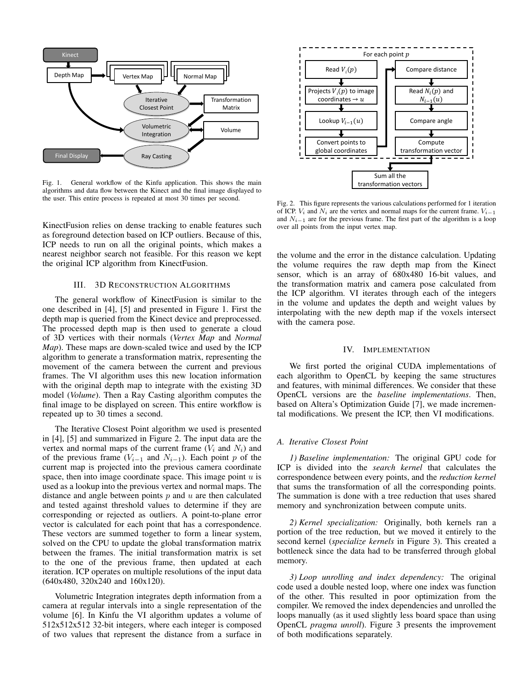

Fig. 1. General workflow of the Kinfu application. This shows the main algorithms and data flow between the Kinect and the final image displayed to the user. This entire process is repeated at most 30 times per second.

KinectFusion relies on dense tracking to enable features such as foreground detection based on ICP outliers. Because of this, ICP needs to run on all the original points, which makes a nearest neighbor search not feasible. For this reason we kept the original ICP algorithm from KinectFusion.

# III. 3D RECONSTRUCTION ALGORITHMS

The general workflow of KinectFusion is similar to the one described in [4], [5] and presented in Figure 1. First the depth map is queried from the Kinect device and preprocessed. The processed depth map is then used to generate a cloud of 3D vertices with their normals (*Vertex Map* and *Normal Map*). These maps are down-scaled twice and used by the ICP algorithm to generate a transformation matrix, representing the movement of the camera between the current and previous frames. The VI algorithm uses this new location information with the original depth map to integrate with the existing 3D model (*Volume*). Then a Ray Casting algorithm computes the final image to be displayed on screen. This entire workflow is repeated up to 30 times a second.

The Iterative Closest Point algorithm we used is presented in [4], [5] and summarized in Figure 2. The input data are the vertex and normal maps of the current frame  $(V_i$  and  $N_i)$  and of the previous frame ( $V_{i-1}$  and  $N_{i-1}$ ). Each point p of the current map is projected into the previous camera coordinate space, then into image coordinate space. This image point  $u$  is used as a lookup into the previous vertex and normal maps. The distance and angle between points  $p$  and  $u$  are then calculated and tested against threshold values to determine if they are corresponding or rejected as outliers. A point-to-plane error vector is calculated for each point that has a correspondence. These vectors are summed together to form a linear system, solved on the CPU to update the global transformation matrix between the frames. The initial transformation matrix is set to the one of the previous frame, then updated at each iteration. ICP operates on multiple resolutions of the input data (640x480, 320x240 and 160x120).

Volumetric Integration integrates depth information from a camera at regular intervals into a single representation of the volume [6]. In Kinfu the VI algorithm updates a volume of 512x512x512 32-bit integers, where each integer is composed of two values that represent the distance from a surface in



Fig. 2. This figure represents the various calculations performed for 1 iteration of ICP.  $V_i$  and  $N_i$  are the vertex and normal maps for the current frame.  $V_{i-1}$ and  $N_{i-1}$  are for the previous frame. The first part of the algorithm is a loop over all points from the input vertex map.

the volume and the error in the distance calculation. Updating the volume requires the raw depth map from the Kinect sensor, which is an array of 680x480 16-bit values, and the transformation matrix and camera pose calculated from the ICP algorithm. VI iterates through each of the integers in the volume and updates the depth and weight values by interpolating with the new depth map if the voxels intersect with the camera pose.

# IV. IMPLEMENTATION

We first ported the original CUDA implementations of each algorithm to OpenCL by keeping the same structures and features, with minimal differences. We consider that these OpenCL versions are the *baseline implementations*. Then, based on Altera's Optimization Guide [7], we made incremental modifications. We present the ICP, then VI modifications.

#### *A. Iterative Closest Point*

*1) Baseline implementation:* The original GPU code for ICP is divided into the *search kernel* that calculates the correspondence between every points, and the *reduction kernel* that sums the transformation of all the corresponding points. The summation is done with a tree reduction that uses shared memory and synchronization between compute units.

*2) Kernel specialization:* Originally, both kernels ran a portion of the tree reduction, but we moved it entirely to the second kernel (*specialize kernels* in Figure 3). This created a bottleneck since the data had to be transferred through global memory.

*3) Loop unrolling and index dependency:* The original code used a double nested loop, where one index was function of the other. This resulted in poor optimization from the compiler. We removed the index dependencies and unrolled the loops manually (as it used slightly less board space than using OpenCL *pragma unroll*). Figure 3 presents the improvement of both modifications separately.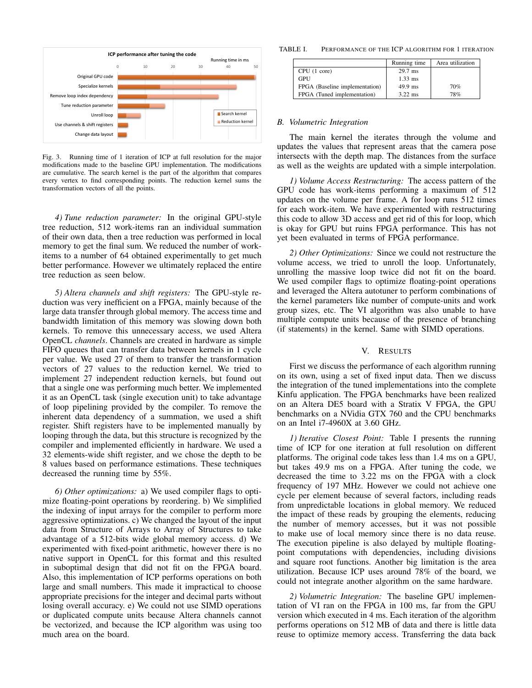

Fig. 3. Running time of 1 iteration of ICP at full resolution for the major modifications made to the baseline GPU implementation. The modifications are cumulative. The search kernel is the part of the algorithm that compares every vertex to find corresponding points. The reduction kernel sums the transformation vectors of all the points.

*4) Tune reduction parameter:* In the original GPU-style tree reduction, 512 work-items ran an individual summation of their own data, then a tree reduction was performed in local memory to get the final sum. We reduced the number of workitems to a number of 64 obtained experimentally to get much better performance. However we ultimately replaced the entire tree reduction as seen below.

*5) Altera channels and shift registers:* The GPU-style reduction was very inefficient on a FPGA, mainly because of the large data transfer through global memory. The access time and bandwidth limitation of this memory was slowing down both kernels. To remove this unnecessary access, we used Altera OpenCL *channels*. Channels are created in hardware as simple FIFO queues that can transfer data between kernels in 1 cycle per value. We used 27 of them to transfer the transformation vectors of 27 values to the reduction kernel. We tried to implement 27 independent reduction kernels, but found out that a single one was performing much better. We implemented it as an OpenCL task (single execution unit) to take advantage of loop pipelining provided by the compiler. To remove the inherent data dependency of a summation, we used a shift register. Shift registers have to be implemented manually by looping through the data, but this structure is recognized by the compiler and implemented efficiently in hardware. We used a 32 elements-wide shift register, and we chose the depth to be 8 values based on performance estimations. These techniques decreased the running time by 55%.

*6) Other optimizations:* a) We used compiler flags to optimize floating-point operations by reordering. b) We simplified the indexing of input arrays for the compiler to perform more aggressive optimizations. c) We changed the layout of the input data from Structure of Arrays to Array of Structures to take advantage of a 512-bits wide global memory access. d) We experimented with fixed-point arithmetic, however there is no native support in OpenCL for this format and this resulted in suboptimal design that did not fit on the FPGA board. Also, this implementation of ICP performs operations on both large and small numbers. This made it impractical to choose appropriate precisions for the integer and decimal parts without losing overall accuracy. e) We could not use SIMD operations or duplicated compute units because Altera channels cannot be vectorized, and because the ICP algorithm was using too much area on the board.

TABLE I. PERFORMANCE OF THE ICP ALGORITHM FOR 1 ITERATION

|                                | Running time | Area utilization |
|--------------------------------|--------------|------------------|
| CPU (1 core)                   | $29.7$ ms    |                  |
| GPU                            | $1.33$ ms    |                  |
| FPGA (Baseline implementation) | $49.9$ ms    | 70%              |
| FPGA (Tuned implementation)    | $3.22$ ms    | 78%              |

# *B. Volumetric Integration*

The main kernel the iterates through the volume and updates the values that represent areas that the camera pose intersects with the depth map. The distances from the surface as well as the weights are updated with a simple interpolation.

*1) Volume Access Restructuring:* The access pattern of the GPU code has work-items performing a maximum of 512 updates on the volume per frame. A for loop runs 512 times for each work-item. We have experimented with restructuring this code to allow 3D access and get rid of this for loop, which is okay for GPU but ruins FPGA performance. This has not yet been evaluated in terms of FPGA performance.

*2) Other Optimizations:* Since we could not restructure the volume access, we tried to unroll the loop. Unfortunately, unrolling the massive loop twice did not fit on the board. We used compiler flags to optimize floating-point operations and leveraged the Altera autotuner to perform combinations of the kernel parameters like number of compute-units and work group sizes, etc. The VI algorithm was also unable to have multiple compute units because of the presence of branching (if statements) in the kernel. Same with SIMD operations.

### V. RESULTS

First we discuss the performance of each algorithm running on its own, using a set of fixed input data. Then we discuss the integration of the tuned implementations into the complete Kinfu application. The FPGA benchmarks have been realized on an Altera DE5 board with a Stratix V FPGA, the GPU benchmarks on a NVidia GTX 760 and the CPU benchmarks on an Intel i7-4960X at 3.60 GHz.

*1) Iterative Closest Point:* Table I presents the running time of ICP for one iteration at full resolution on different platforms. The original code takes less than 1.4 ms on a GPU, but takes 49.9 ms on a FPGA. After tuning the code, we decreased the time to 3.22 ms on the FPGA with a clock frequency of 197 MHz. However we could not achieve one cycle per element because of several factors, including reads from unpredictable locations in global memory. We reduced the impact of these reads by grouping the elements, reducing the number of memory accesses, but it was not possible to make use of local memory since there is no data reuse. The execution pipeline is also delayed by multiple floatingpoint computations with dependencies, including divisions and square root functions. Another big limitation is the area utilization. Because ICP uses around 78% of the board, we could not integrate another algorithm on the same hardware.

*2) Volumetric Integration:* The baseline GPU implementation of VI ran on the FPGA in 100 ms, far from the GPU version which executed in 4 ms. Each iteration of the algorithm performs operations on 512 MB of data and there is little data reuse to optimize memory access. Transferring the data back